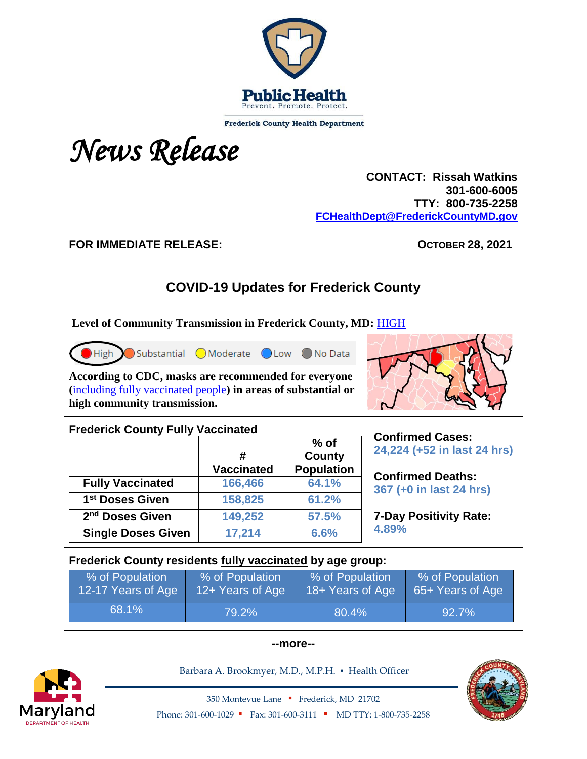

**Frederick County Health Department** 

*News Release*

 **CONTACT: Rissah Watkins 301-600-6005 TTY: 800-735-2258 [FCHealthDept@FrederickCountyMD.gov](mailto:FCHealthDept@FrederickCountyMD.gov)**

#### **FOR IMMEDIATE RELEASE: OCTOBER 28, 2021**

# **COVID-19 Updates for Frederick County**

| Level of Community Transmission in Frederick County, MD: HIGH                                                                                                         |                                     |                         |                                                                                               |                             |  |  |
|-----------------------------------------------------------------------------------------------------------------------------------------------------------------------|-------------------------------------|-------------------------|-----------------------------------------------------------------------------------------------|-----------------------------|--|--|
| <b>High</b><br>According to CDC, masks are recommended for everyone<br>(including fully vaccinated people) in areas of substantial or<br>high community transmission. | Substantial OModerate OLow ONo Data |                         |                                                                                               |                             |  |  |
| <b>Frederick County Fully Vaccinated</b>                                                                                                                              | <b>Confirmed Cases:</b>             |                         |                                                                                               |                             |  |  |
|                                                                                                                                                                       | #                                   | $%$ of<br><b>County</b> |                                                                                               | 24,224 (+52 in last 24 hrs) |  |  |
|                                                                                                                                                                       | <b>Vaccinated</b>                   | <b>Population</b>       |                                                                                               |                             |  |  |
| <b>Fully Vaccinated</b>                                                                                                                                               | 166,466                             | 64.1%                   | <b>Confirmed Deaths:</b><br>367 (+0 in last 24 hrs)<br><b>7-Day Positivity Rate:</b><br>4.89% |                             |  |  |
| 1 <sup>st</sup> Doses Given                                                                                                                                           | 158,825                             | 61.2%                   |                                                                                               |                             |  |  |
| 2 <sup>nd</sup> Doses Given                                                                                                                                           | 149,252                             | 57.5%                   |                                                                                               |                             |  |  |
| <b>Single Doses Given</b>                                                                                                                                             | 17,214                              | 6.6%                    |                                                                                               |                             |  |  |
| Frederick County residents fully vaccinated by age group:                                                                                                             |                                     |                         |                                                                                               |                             |  |  |
| % of Population<br>12-17 Years of Age                                                                                                                                 | % of Population<br>12+ Years of Age |                         | % of Population<br>% of Population<br>18+ Years of Age<br>65+ Years of Age                    |                             |  |  |
| 68.1%                                                                                                                                                                 | 79.2%                               |                         | 92.7%<br>80.4%                                                                                |                             |  |  |





Barbara A. Brookmyer, M.D., M.P.H. · Health Officer

350 Montevue Lane ▪ Frederick, MD 21702 Phone: 301-600-1029 • Fax: 301-600-3111 • MD TTY: 1-800-735-2258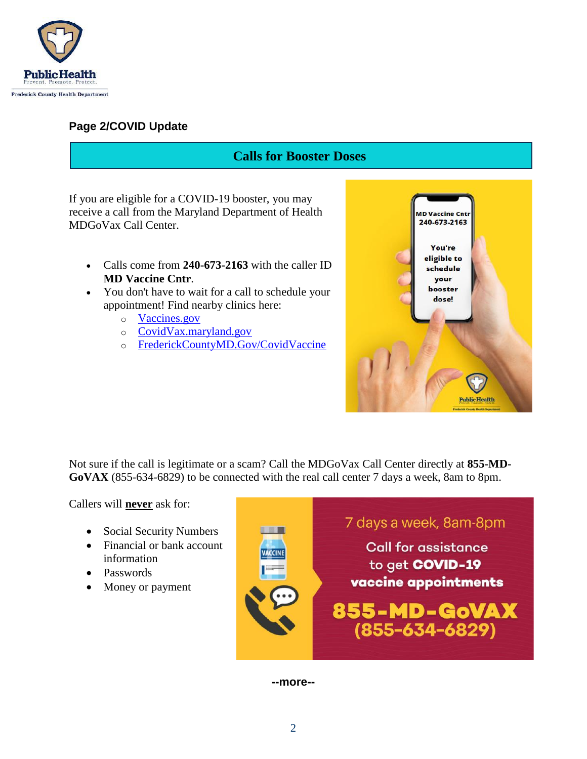

#### **Page 2/COVID Update**

### **Calls for Booster Doses**

If you are eligible for a COVID-19 booster, you may receive a call from the Maryland Department of Health MDGoVax Call Center.

- Calls come from **240-673-2163** with the caller ID **MD Vaccine Cntr**.
- You don't have to wait for a call to schedule your appointment! Find nearby clinics here:
	- o [Vaccines.gov](https://www.vaccines.gov/)
	- o [CovidVax.maryland.gov](http://covidvax.maryland.gov/)
	- o [FrederickCountyMD.Gov/CovidVaccine](http://frederickcountymd.gov/covidvaccine)



Not sure if the call is legitimate or a scam? Call the MDGoVax Call Center directly at **855-MD-GoVAX** (855-634-6829) to be connected with the real call center 7 days a week, 8am to 8pm.

Callers will **never** ask for:

- Social Security Numbers
- Financial or bank account information
- Passwords
- Money or payment



**--more--**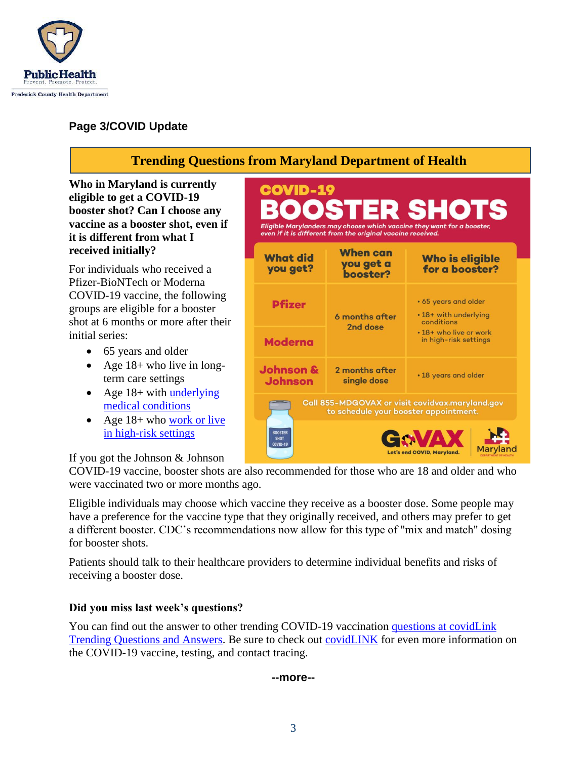

### **Page 3/COVID Update**

## **Trending Questions from Maryland Department of Health**

**COVID-19** 

**Who in Maryland is currently eligible to get a COVID-19 booster shot? Can I choose any vaccine as a booster shot, even if it is different from what I received initially?** 

For individuals who received a Pfizer-BioNTech or Moderna COVID-19 vaccine, the following groups are eligible for a booster shot at 6 months or more after their initial series:

- 65 years and older
- Age  $18+$  who live in longterm care settings
- Age  $18+$  with underlying [medical conditions](https://www.cdc.gov/coronavirus/2019-ncov/need-extra-precautions/people-with-medical-conditions.html)
- Age  $18+$  who work or live [in high-risk settings](https://www.cdc.gov/coronavirus/2019-ncov/vaccines/booster-shot.html#HighRisk)

#### If you got the Johnson & Johnson

COVID-19 vaccine, booster shots are also recommended for those who are 18 and older and who were vaccinated two or more months ago.

**BOOSTER<br>SHOT<br>COVID-19** 

Eligible individuals may choose which vaccine they receive as a booster dose. Some people may have a preference for the vaccine type that they originally received, and others may prefer to get a different booster. CDC's recommendations now allow for this type of "mix and match" dosing for booster shots.

Patients should talk to their healthcare providers to determine individual benefits and risks of receiving a booster dose.

#### **Did you miss last week's questions?**

You can find out the answer to other trending COVID-19 vaccination questions at covidLink [Trending Questions and Answers.](https://covidlink.maryland.gov/content/faqs/#trending) Be sure to check out [covidLINK](https://covidlink.maryland.gov/content/) for even more information on the COVID-19 vaccine, testing, and contact tracing.

**--more--**

3

| --<br>э |  |  |
|---------|--|--|
|         |  |  |
|         |  |  |

| <b>What did</b><br>you get?            | <b>When can</b><br>you get a<br>booster? | <b>Who is eligible</b><br>for a booster?                                                                       |  |
|----------------------------------------|------------------------------------------|----------------------------------------------------------------------------------------------------------------|--|
| <b>Pfizer</b>                          | 6 months after<br>2nd dose               | • 65 years and older<br>• 18+ with underlying<br>conditions<br>• 18+ who live or work<br>in high-risk settings |  |
| <b>Moderna</b>                         |                                          |                                                                                                                |  |
| <b>Johnson &amp;</b><br><b>Johnson</b> | 2 months after<br>single dose            | • 18 years and older                                                                                           |  |

**Maryland** 

ROOSTED SHOTS